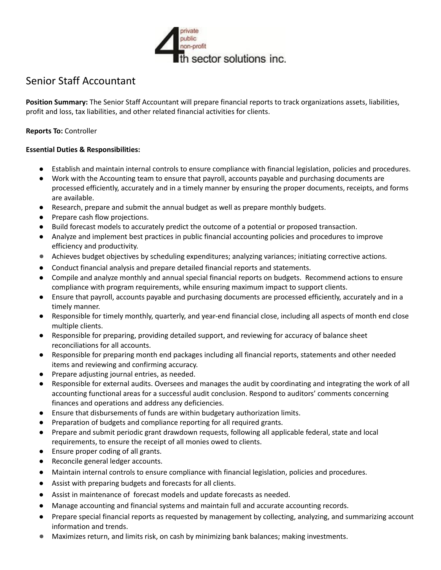

# Senior Staff Accountant

**Position Summary:** The Senior Staff Accountant will prepare financial reports to track organizations assets, liabilities, profit and loss, tax liabilities, and other related financial activities for clients.

## **Reports To:** Controller

#### **Essential Duties & Responsibilities:**

- Establish and maintain internal controls to ensure compliance with financial legislation, policies and procedures.
- Work with the Accounting team to ensure that payroll, accounts payable and purchasing documents are processed efficiently, accurately and in a timely manner by ensuring the proper documents, receipts, and forms are available.
- Research, prepare and submit the annual budget as well as prepare monthly budgets.
- Prepare cash flow projections.
- Build forecast models to accurately predict the outcome of a potential or proposed transaction.
- Analyze and implement best practices in public financial accounting policies and procedures to improve efficiency and productivity.
- *●* Achieves budget objectives by scheduling expenditures; analyzing variances; initiating corrective actions.
- Conduct financial analysis and prepare detailed financial reports and statements.
- Compile and analyze monthly and annual special financial reports on budgets. Recommend actions to ensure compliance with program requirements, while ensuring maximum impact to support clients.
- Ensure that payroll, accounts payable and purchasing documents are processed efficiently, accurately and in a timely manner.
- Responsible for timely monthly, quarterly, and year-end financial close, including all aspects of month end close multiple clients.
- Responsible for preparing, providing detailed support, and reviewing for accuracy of balance sheet reconciliations for all accounts.
- Responsible for preparing month end packages including all financial reports, statements and other needed items and reviewing and confirming accuracy.
- Prepare adjusting journal entries, as needed.
- Responsible for external audits. Oversees and manages the audit by coordinating and integrating the work of all accounting functional areas for a successful audit conclusion. Respond to auditors' comments concerning finances and operations and address any deficiencies.
- Ensure that disbursements of funds are within budgetary authorization limits.
- Preparation of budgets and compliance reporting for all required grants.
- Prepare and submit periodic grant drawdown requests, following all applicable federal, state and local requirements, to ensure the receipt of all monies owed to clients.
- Ensure proper coding of all grants.
- Reconcile general ledger accounts.
- Maintain internal controls to ensure compliance with financial legislation, policies and procedures.
- Assist with preparing budgets and forecasts for all clients.
- Assist in maintenance of forecast models and update forecasts as needed.
- Manage accounting and financial systems and maintain full and accurate accounting records.
- Prepare special financial reports as requested by management by collecting, analyzing, and summarizing account information and trends.
- *●* Maximizes return, and limits risk, on cash by minimizing bank balances; making investments.